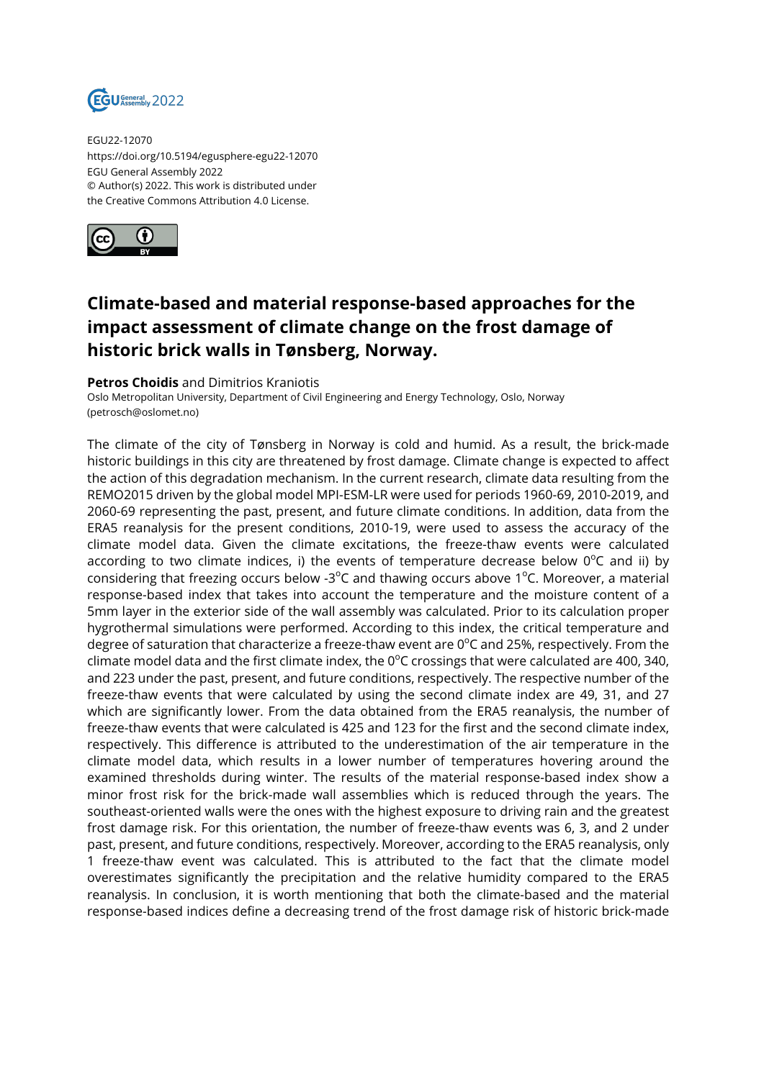

EGU22-12070 https://doi.org/10.5194/egusphere-egu22-12070 EGU General Assembly 2022 © Author(s) 2022. This work is distributed under the Creative Commons Attribution 4.0 License.



## **Climate-based and material response-based approaches for the impact assessment of climate change on the frost damage of historic brick walls in Tønsberg, Norway.**

## **Petros Choidis** and Dimitrios Kraniotis

Oslo Metropolitan University, Department of Civil Engineering and Energy Technology, Oslo, Norway (petrosch@oslomet.no)

The climate of the city of Tønsberg in Norway is cold and humid. As a result, the brick-made historic buildings in this city are threatened by frost damage. Climate change is expected to affect the action of this degradation mechanism. In the current research, climate data resulting from the REMO2015 driven by the global model MPI-ESM-LR were used for periods 1960-69, 2010-2019, and 2060-69 representing the past, present, and future climate conditions. In addition, data from the ERA5 reanalysis for the present conditions, 2010-19, were used to assess the accuracy of the climate model data. Given the climate excitations, the freeze-thaw events were calculated according to two climate indices, i) the events of temperature decrease below  $0^{\circ}$ C and ii) by considering that freezing occurs below -3<sup>o</sup>C and thawing occurs above 1<sup>o</sup>C. Moreover, a material response-based index that takes into account the temperature and the moisture content of a 5mm layer in the exterior side of the wall assembly was calculated. Prior to its calculation proper hygrothermal simulations were performed. According to this index, the critical temperature and degree of saturation that characterize a freeze-thaw event are  $0^{\circ}$ C and 25%, respectively. From the climate model data and the first climate index, the  $0^{\circ}$ C crossings that were calculated are 400, 340, and 223 under the past, present, and future conditions, respectively. The respective number of the freeze-thaw events that were calculated by using the second climate index are 49, 31, and 27 which are significantly lower. From the data obtained from the ERA5 reanalysis, the number of freeze-thaw events that were calculated is 425 and 123 for the first and the second climate index, respectively. This difference is attributed to the underestimation of the air temperature in the climate model data, which results in a lower number of temperatures hovering around the examined thresholds during winter. The results of the material response-based index show a minor frost risk for the brick-made wall assemblies which is reduced through the years. The southeast-oriented walls were the ones with the highest exposure to driving rain and the greatest frost damage risk. For this orientation, the number of freeze-thaw events was 6, 3, and 2 under past, present, and future conditions, respectively. Moreover, according to the ERA5 reanalysis, only 1 freeze-thaw event was calculated. This is attributed to the fact that the climate model overestimates significantly the precipitation and the relative humidity compared to the ERA5 reanalysis. In conclusion, it is worth mentioning that both the climate-based and the material response-based indices define a decreasing trend of the frost damage risk of historic brick-made